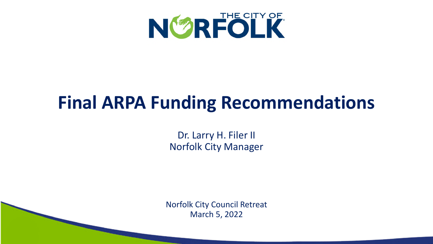

### **Final ARPA Funding Recommendations**

Dr. Larry H. Filer II Norfolk City Manager

Norfolk City Council Retreat March 5, 2022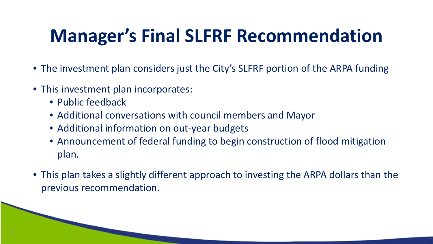# **Manager's Final SLFRF Recommendation**

- The investment plan considers just the City's SLFRF portion of the ARPA funding
- This investment plan incorporates:
	- Public feedback
	- Additional conversations with council members and Mayor
	- Additional information on out-year budgets
	- Announcement of federal funding to begin construction of flood mitigation plan.
- This plan takes a slightly different approach to investing the ARPA dollars than the previous recommendation.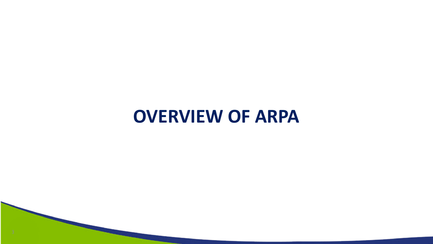#### **OVERVIEW OF ARPA**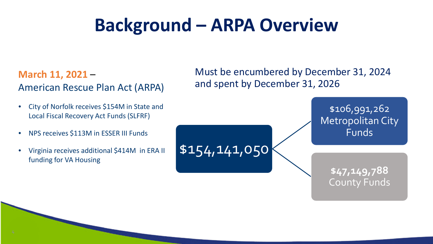#### **Background – ARPA Overview**

\$154,141,050

#### **March 11, 2021** – American Rescue Plan Act (ARPA)

- City of Norfolk receives \$154M in State and Local Fiscal Recovery Act Funds (SLFRF)
- NPS receives \$113M in ESSER III Funds
- Virginia receives additional \$414M in ERA II funding for VA Housing

Must be encumbered by December 31, 2024 and spent by December 31, 2026

> \$106,991,262 Metropolitan City Funds

> > **\$47,149,788**  County Funds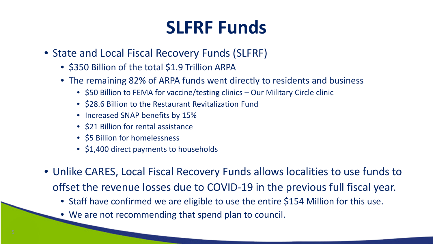### **SLFRF Funds**

- State and Local Fiscal Recovery Funds (SLFRF)
	- \$350 Billion of the total \$1.9 Trillion ARPA
	- The remaining 82% of ARPA funds went directly to residents and business
		- \$50 Billion to FEMA for vaccine/testing clinics Our Military Circle clinic
		- \$28.6 Billion to the Restaurant Revitalization Fund
		- Increased SNAP benefits by 15%
		- \$21 Billion for rental assistance
		- \$5 Billion for homelessness
		- \$1,400 direct payments to households
- Unlike CARES, Local Fiscal Recovery Funds allows localities to use funds to offset the revenue losses due to COVID-19 in the previous full fiscal year.
	- Staff have confirmed we are eligible to use the entire \$154 Million for this use.
	- We are not recommending that spend plan to council.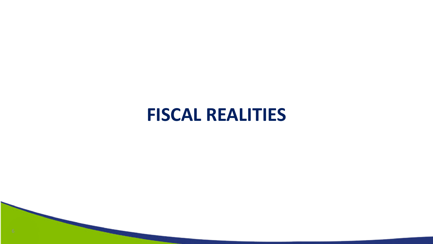#### **FISCAL REALITIES**

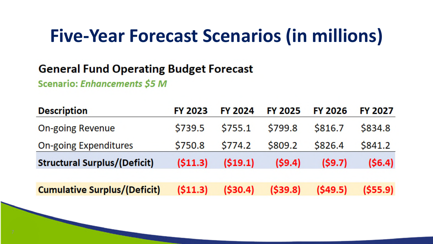#### **Five-Year Forecast Scenarios (in millions)**

#### **General Fund Operating Budget Forecast**

Scenario: Enhancements \$5 M

| <b>Description</b>                  | <b>FY 2023</b> | <b>FY 2024</b> | <b>FY 2025</b> | <b>FY 2026</b> | <b>FY 2027</b> |
|-------------------------------------|----------------|----------------|----------------|----------------|----------------|
| <b>On-going Revenue</b>             | \$739.5        | \$755.1        | \$799.8        | \$816.7        | \$834.8        |
| <b>On-going Expenditures</b>        | \$750.8        | \$774.2        | \$809.2        | \$826.4        | \$841.2        |
| <b>Structural Surplus/(Deficit)</b> | (511.3)        | (519.1)        | (59.4)         | (59.7)         | (56.4)         |
|                                     |                |                |                |                |                |
| <b>Cumulative Surplus/(Deficit)</b> | (511.3)        | ( \$30.4)      | (539.8)        | (549.5)        | (555.9)        |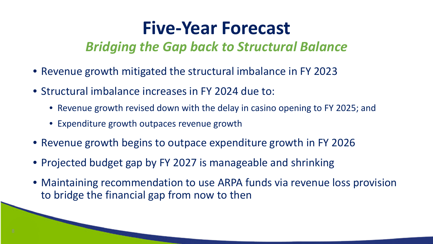#### **Five-Year Forecast**

#### *Bridging the Gap back to Structural Balance*

- Revenue growth mitigated the structural imbalance in FY 2023
- Structural imbalance increases in FY 2024 due to:
	- Revenue growth revised down with the delay in casino opening to FY 2025; and
	- Expenditure growth outpaces revenue growth
- Revenue growth begins to outpace expenditure growth in FY 2026
- Projected budget gap by FY 2027 is manageable and shrinking
- Maintaining recommendation to use ARPA funds via revenue loss provision to bridge the financial gap from now to then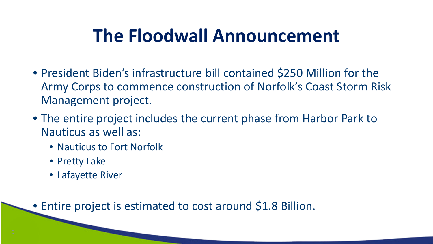### **The Floodwall Announcement**

- President Biden's infrastructure bill contained \$250 Million for the Army Corps to commence construction of Norfolk's Coast Storm Risk Management project.
- The entire project includes the current phase from Harbor Park to Nauticus as well as:
	- Nauticus to Fort Norfolk
	- Pretty Lake
	- Lafayette River

• Entire project is estimated to cost around \$1.8 Billion.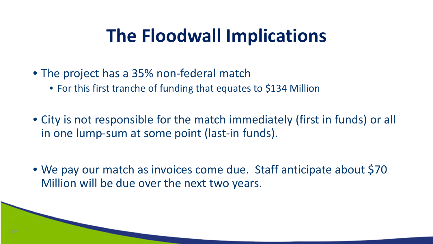#### **The Floodwall Implications**

- The project has a 35% non-federal match
	- For this first tranche of funding that equates to \$134 Million
- City is not responsible for the match immediately (first in funds) or all in one lump-sum at some point (last-in funds).
- We pay our match as invoices come due. Staff anticipate about \$70 Million will be due over the next two years.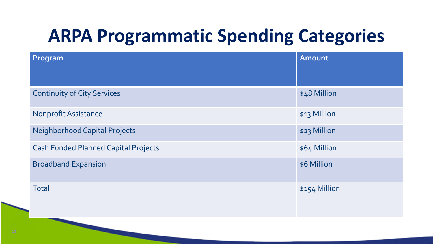# **ARPA Programmatic Spending Categories**

| Program                                     | Amount        |
|---------------------------------------------|---------------|
|                                             |               |
| <b>Continuity of City Services</b>          | \$48 Million  |
| <b>Nonprofit Assistance</b>                 | \$13 Million  |
| <b>Neighborhood Capital Projects</b>        | \$23 Million  |
| <b>Cash Funded Planned Capital Projects</b> | \$64 Million  |
| <b>Broadband Expansion</b>                  | \$6 Million   |
| <b>Total</b>                                | \$154 Million |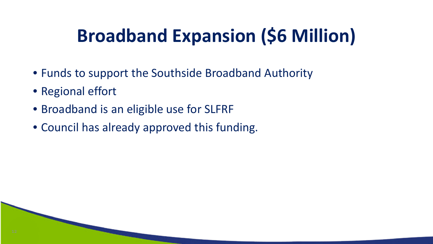# **Broadband Expansion (\$6 Million)**

- Funds to support the Southside Broadband Authority
- Regional effort
- Broadband is an eligible use for SLFRF
- Council has already approved this funding.

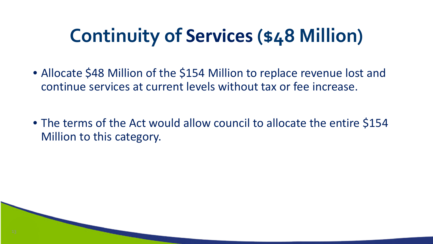# **Continuity of Services (\$48 Million)**

- Allocate \$48 Million of the \$154 Million to replace revenue lost and continue services at current levels without tax or fee increase.
- The terms of the Act would allow council to allocate the entire \$154 Million to this category.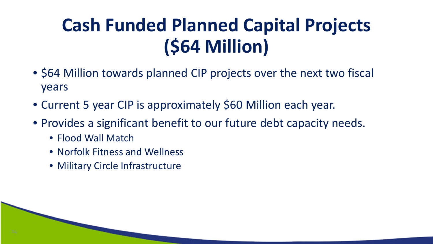# **Cash Funded Planned Capital Projects (\$64 Million)**

- \$64 Million towards planned CIP projects over the next two fiscal years
- Current 5 year CIP is approximately \$60 Million each year.
- Provides a significant benefit to our future debt capacity needs.
	- Flood Wall Match
	- Norfolk Fitness and Wellness
	- Military Circle Infrastructure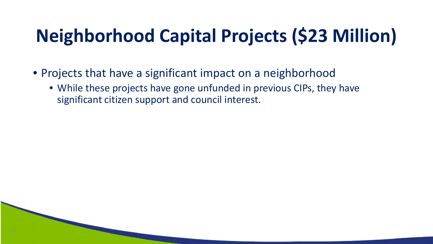# **Neighborhood Capital Projects (\$23 Million)**

- Projects that have a significant impact on a neighborhood
	- While these projects have gone unfunded in previous CIPs, they have significant citizen support and council interest.

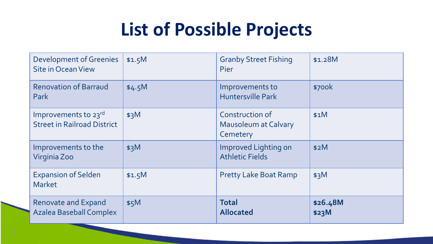### **List of Possible Projects**

| <b>Development of Greenies</b><br><b>Site in Ocean View</b>  | \$1.5M | <b>Granby Street Fishing</b><br><b>Pier</b>                       | \$1.28M           |
|--------------------------------------------------------------|--------|-------------------------------------------------------------------|-------------------|
| <b>Renovation of Barraud</b><br>Park                         | \$4.5M | Improvements to<br><b>Huntersville Park</b>                       | \$700k            |
| Improvements to 23rd<br><b>Street in Railroad District</b>   | \$3M   | <b>Construction of</b><br><b>Mausoleum at Calvary</b><br>Cemetery | \$1M              |
| Improvements to the<br>Virginia Zoo                          | \$3M   | Improved Lighting on<br><b>Athletic Fields</b>                    | \$2M              |
| <b>Expansion of Selden</b><br><b>Market</b>                  | \$1.5M | <b>Pretty Lake Boat Ramp</b>                                      | \$3M              |
| <b>Renovate and Expand</b><br><b>Azalea Baseball Complex</b> | \$5M   | <b>Total</b><br><b>Allocated</b>                                  | \$26.48M<br>\$23M |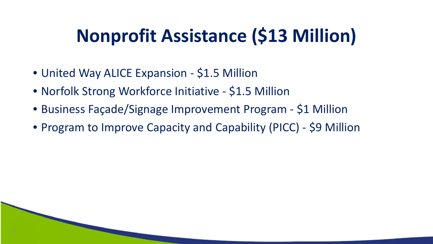# **Nonprofit Assistance (\$13 Million)**

- United Way ALICE Expansion \$1.5 Million
- Norfolk Strong Workforce Initiative \$1.5 Million
- Business Façade/Signage Improvement Program \$1 Million
- Program to Improve Capacity and Capability (PICC) \$9 Million

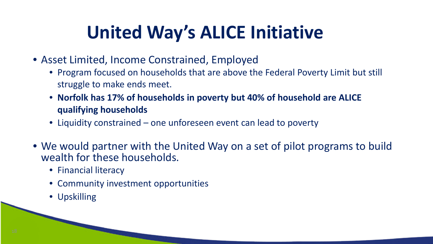# **United Way's ALICE Initiative**

- Asset Limited, Income Constrained, Employed
	- Program focused on households that are above the Federal Poverty Limit but still struggle to make ends meet.
	- **Norfolk has 17% of households in poverty but 40% of household are ALICE qualifying households**
	- Liquidity constrained one unforeseen event can lead to poverty
- We would partner with the United Way on a set of pilot programs to build wealth for these households.
	- Financial literacy
	- Community investment opportunities
	- Upskilling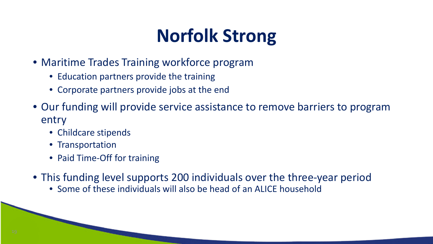# **Norfolk Strong**

- Maritime Trades Training workforce program
	- Education partners provide the training
	- Corporate partners provide jobs at the end
- Our funding will provide service assistance to remove barriers to program entry
	- Childcare stipends
	- Transportation
	- Paid Time-Off for training
- This funding level supports 200 individuals over the three-year period
	- Some of these individuals will also be head of an ALICE household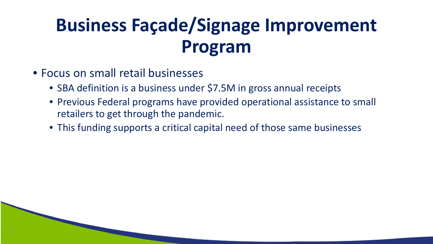# **Business Façade/Signage Improvement Program**

- Focus on small retail businesses
	- SBA definition is a business under \$7.5M in gross annual receipts
	- Previous Federal programs have provided operational assistance to small retailers to get through the pandemic.
	- This funding supports a critical capital need of those same businesses

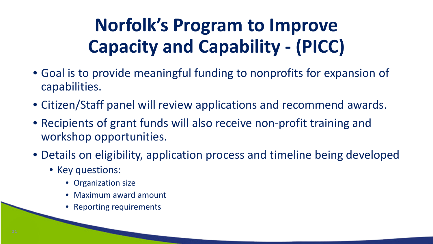# **Norfolk's Program to Improve Capacity and Capability - (PICC)**

- Goal is to provide meaningful funding to nonprofits for expansion of capabilities.
- Citizen/Staff panel will review applications and recommend awards.
- Recipients of grant funds will also receive non-profit training and workshop opportunities.
- Details on eligibility, application process and timeline being developed
	- Key questions:
		- Organization size
		- Maximum award amount
		- Reporting requirements